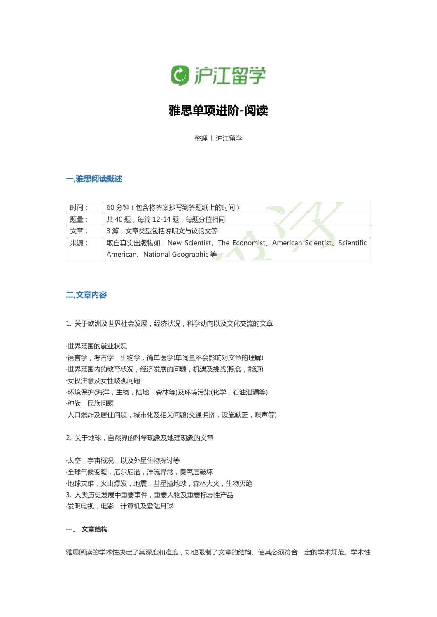

# **雅思单项进阶-阅读**

整理 l 沪江留学

## **一,雅思阅读概述**

| 时间: | 60分钟 (包含将答案抄写到答题纸上的时间)                                              |
|-----|---------------------------------------------------------------------|
| 题量: | 共40题,每篇12-14题,每题分值相同                                                |
| 文章: | 3 篇, 文章类型包括说明文与议论文等                                                 |
| 来源: | 取自真实出版物如: New Scientist、The Economist、American Scientist、Scientific |
|     | American、National Geographic 等                                      |

# **二,文章内容**

1. 关于欧洲及世界社会发展,经济状况,科学动向以及文化交流的文章

#### ·世界范围的就业状况

·语言学,考古学,生物学,简单医学(单词量不会影响对文章的理解) ·世界范围内的教育状况, 经济发展的问题, 机遇及挑战(粮食, 能源) ·女权注意及女性歧视问题 ·环境保护(海洋,生物,陆地,森林等)及环境污染(化学,石油泄漏等) ·种族,民族问题 ·人口爆炸及居住问题, 城市化及相关问题(交通拥挤, 设施缺乏, 噪声等)

2. 关于地球, 自然界的科学现象及地理现象的文章

·太空,宇宙概况,以及外星生物探讨等 ·全球气候变暖,厄尔尼诺,洋流异常,臭氧层破坏 ·地球灾难,火山爆发,地震,彗星撞地球,森林大火,生物灭绝 3. 人类历史发展中重要事件,重要人物及重要标志性产品 ·发明电视,电影,计算机及登陆月球

# **一、 文章结构**

雅思阅读的学术性决定了其深度和难度,却也限制了文章的结构、使其必须符合一定的学术规范。学术性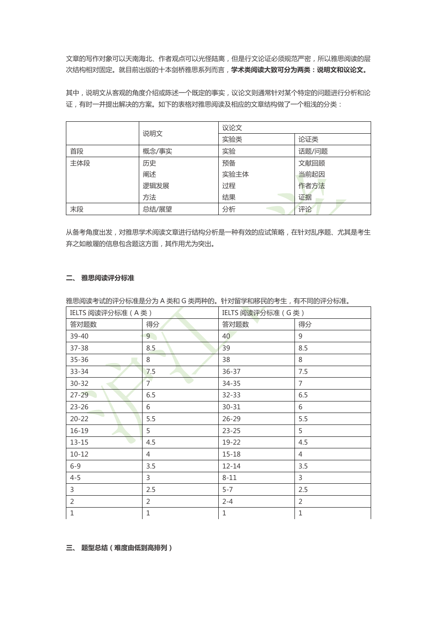文章的写作对象可以天南海北、作者观点可以光怪陆离,但是行文论证必须规范严密,所以雅思阅读的层 次结构相对固定。就目前出版的十本剑桥雅思系列而言,**学术类阅读大致可分为两类:说明文和议论文。**

其中,说明文从客观的角度介绍或陈述一个既定的事实,议论文则通常针对某个特定的问题进行分析和论 证,有时一并提出解决的方案。如下的表格对雅思阅读及相应的文章结构做了一个粗浅的分类:

|     |       | 议论文  |       |
|-----|-------|------|-------|
|     | 说明文   | 实验类  | 论证类   |
| 首段  | 概念/事实 | 实验   | 话题/问题 |
| 主体段 | 历史    | 预备   | 文献回顾  |
|     | 阐述    | 实验主体 | 当前起因  |
|     | 逻辑发展  | 过程   | 作者方法  |
|     | 方法    | 结果   | 证据    |
| 末段  | 总结/展望 | 分析   | 评论    |

从备考角度出发,对雅思学术阅读文章进行结构分析是一种有效的应试策略,在针对乱序题、尤其是考生 弃之如敝履的信息包含题这方面,其作用尤为突出。

#### **二、 雅思阅读评分标准**

雅思阅读考试的评分标准是分为 A 类和 G 类两种的。针对留学和移民的考生,有不同的评分标准。

| IELTS 阅读评分标准 (A类) |                | IELTS 阅读评分标准 (G类) |                |
|-------------------|----------------|-------------------|----------------|
| 答对题数              | 得分             | 答对题数              | 得分             |
| 39-40             | 9 <sup>1</sup> | 40                | 9              |
| $37 - 38$         | 8.5            | 39                | 8.5            |
| $35 - 36$         | 8              | 38                | 8              |
| $33 - 34$         | 7.5            | $36 - 37$         | 7.5            |
| $30 - 32$         | $\overline{7}$ | $34 - 35$         | $\overline{7}$ |
| $27 - 29$         | 6.5            | $32 - 33$         | 6.5            |
| $23 - 26$         | 6              | $30 - 31$         | 6              |
| $20 - 22$         | 5.5            | $26 - 29$         | 5.5            |
| $16-19$           | 5              | $23 - 25$         | 5              |
| $13 - 15$         | 4.5            | 19-22             | 4.5            |
| $10 - 12$         | 4              | $15 - 18$         | 4              |
| $6 - 9$           | 3.5            | $12 - 14$         | 3.5            |
| $4 - 5$           | $\mathsf{3}$   | $8 - 11$          | $\overline{3}$ |
| $\mathsf{3}$      | 2.5            | $5 - 7$           | 2.5            |
| $\overline{2}$    | 2              | $2 - 4$           | $\overline{2}$ |
| $1\,$             | 1              | $\mathbf{1}$      | $\mathbf{1}$   |

**三、 题型总结(难度由低到高排列)**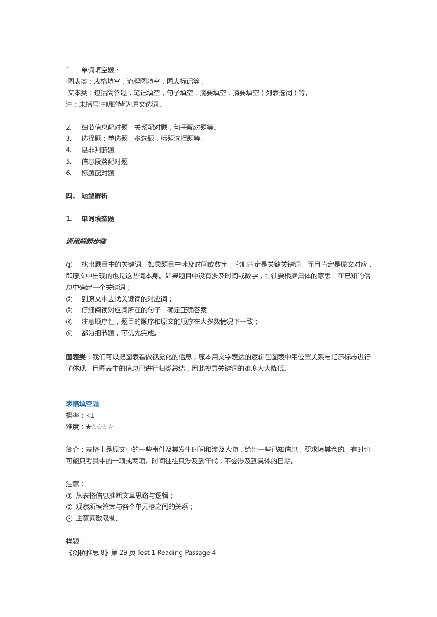1. 单词填空题:

·图表类:表格填空,流程图填空,图表标记等; ·文本类:包括简答题,笔记填空,句子填空,摘要填空,摘要填空(列表选词)等。 注:未括号注明的皆为原文选词。

- 2. 细节信息配对题:关系配对题,句子配对题等。
- 3. 选择题:单选题,多选题,标题选择题等。
- 4. 是非判断题
- 5. 信息段落配对题
- 6. 标题配对题

## **四、 题型解析**

**1. 单词填空题**

#### **通用解题步骤**

① 找出题目中的关键词。如果题目中涉及时间或数字,它们肯定是关键关键词,而且肯定是原文对应, 即原文中出现的也是这些词本身。如果题目中没有涉及时间或数字,往往要根据具体的意思,在已知的信 息中确定一个关键词;

- ② 到原文中去找关键词的对应词;
- ③ 仔细阅读对应词所在的句子,确定正确答案;
- ④ 注意顺序性,题目的顺序和原文的顺序在大多数情况下一致;
- ⑤ 都为细节题,可优先完成。

**图表类:**我们可以把图表看做视觉化的信息,原本用文字表达的逻辑在图表中用位置关系与指示标志进行 了体现,且图表中的信息已进行归类总结,因此搜寻关键词的难度大大降低。

#### **表格填空题**

概率:<1

难度:★☆☆☆☆

简介:表格中是原文中的一些事件及其发生时间和涉及人物,给出一些已知信息,要求填其余的。有时也 可能只考其中的一项或两项。时间往往只涉及到年代,不会涉及到具体的日期。

注意:

- ① 从表格信息推断文章思路与逻辑;
- ② 观察所填答案与各个单元格之间的关系;
- ③ 注意词数限制。

样题:

《剑桥雅思 8》第 29 页 Test 1 Reading Passage 4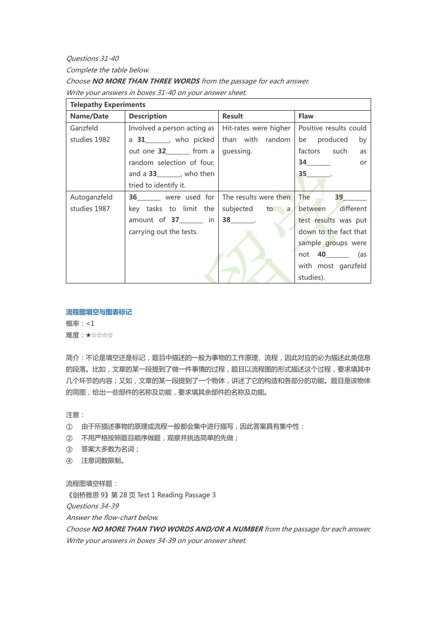Questions 31-40

Complete the table below.

Choose **NO MORE THAN THREE WORDS** from the passage for each answer.

Write your answers in boxes 31-40 on your answer sheet.

| <b>Telepathy Experiments</b> |                                       |                       |                                  |
|------------------------------|---------------------------------------|-----------------------|----------------------------------|
| Name/Date                    | <b>Description</b>                    | <b>Result</b>         | Flaw                             |
| Ganzfeld                     | Involved a person acting as           | Hit-rates were higher | Positive results could           |
| studies 1982                 | a $31$ <sub>______</sub> , who picked | than with random      | be produced<br>by                |
|                              | out one $32$ ________ from a          | guessing.             | factors such<br>as               |
|                              | random selection of four,             |                       | $34$ <sub>_________</sub><br>or  |
|                              | and a $33$ _______, who then          |                       | $35$ $\qquad$                    |
|                              | tried to identify it.                 |                       |                                  |
| Autoganzfeld                 | 36 were used for                      | The results were then | The 39                           |
| studies 1987                 | key tasks to limit the                |                       | subjected to a between different |
|                              | amount of 37______ in                 | $38$ .                | test results was put             |
|                              | carrying out the tests.               |                       | down to the fact that            |
|                              |                                       |                       | sample groups were               |
|                              |                                       |                       | not <b>40</b> (as                |
|                              |                                       |                       | with most ganzfeld               |
|                              |                                       |                       | studies).                        |

# **流程图填空与图表标记**

概率:<1 难度:★☆☆☆☆

简介:不论是填空还是标记,题目中描述的一般为事物的工作原理、流程,因此对应的必为描述此类信息 的段落。比如,文章的某一段提到了做一件事情的过程,题目以流程图的形式描述这个过程,要求填其中 几个环节的内容;又如,文章的某一段提到了一个物体,讲述了它的构造和各部分的功能。题目是该物体 的简图,给出一些部件的名称及功能,要求填其余部件的名称及功能。

注意:

- ① 由于所描述事物的原理或流程一般都会集中进行描写,因此答案具有集中性;
- ② 不用严格按照题目顺序做题,观察并挑选简单的先做;
- ③ 答案大多数为名词;
- ④ 注意词数限制。

流程图填空样题:

《剑桥雅思 9》第 28 页 Test 1 Reading Passage 3

Questions 34-39

Answer the flow-chart below.

Choose **NO MORE THAN TWO WORDS AND/OR A NUMBER** from the passage for each answer. Write your answers in boxes 34-39 on your answer sheet.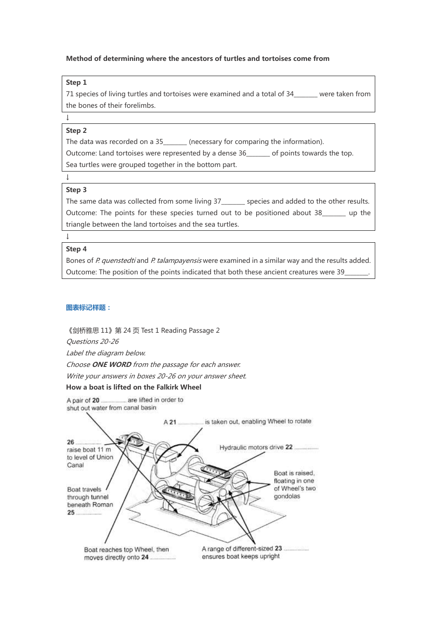## **Method of determining where the ancestors of turtles and tortoises come from**

### **Step 1**

71 species of living turtles and tortoises were examined and a total of 34 were taken from the bones of their forelimbs.

# **Step 2**

↓

The data was recorded on a 35\_\_\_\_\_\_\_\_ (necessary for comparing the information).

Outcome: Land tortoises were represented by a dense 36\_\_\_\_\_\_\_\_ of points towards the top.

Sea turtles were grouped together in the bottom part.

# **Step 3**

↓

The same data was collected from some living 37\_\_\_\_\_\_\_\_ species and added to the other results. Outcome: The points for these species turned out to be positioned about 38 \_\_\_\_\_\_ up the triangle between the land tortoises and the sea turtles.

# **Step 4**

 $\overline{1}$ 

Bones of P. quenstedti and P. talampayensis were examined in a similar way and the results added. Outcome: The position of the points indicated that both these ancient creatures were 39\_

#### **图表标记样题:**

《剑桥雅思 11》第 24 页 Test 1 Reading Passage 2 Questions 20-26 Label the diagram below.

Choose **ONE WORD** from the passage for each answer.

Write your answers in boxes 20-26 on your answer sheet.

## **How a boat is lifted on the Falkirk Wheel**

are lifted in order to A pair of 20. shut out water from canal basin

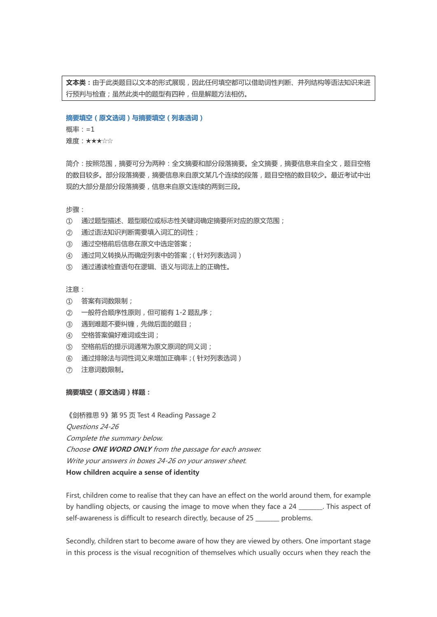**文本类:**由于此类题目以文本的形式展现,因此任何填空都可以借助词性判断、并列结构等语法知识来进 行预判与检查;虽然此类中的题型有四种,但是解题方法相仿。

#### **摘要填空(原文选词)与摘要填空(列表选词)**

概率:=1

难度:★★★☆☆

简介:按照范围,摘要可分为两种:全文摘要和部分段落摘要。全文摘要,摘要信息来自全文,题目空格 的数目较多。部分段落摘要,摘要信息来自原文某几个连续的段落,题目空格的数目较少。最近考试中出 现的大部分是部分段落摘要,信息来自原文连续的两到三段。

步骤:

- ① 通过题型描述、题型顺位或标志性关键词确定摘要所对应的原文范围;
- ② 通过语法知识判断需要填入词汇的词性;
- ③ 通过空格前后信息在原文中选定答案;
- ④ 通过同义转换从而确定列表中的答案;(针对列表选词)
- ⑤ 通过通读检查语句在逻辑、语义与词法上的正确性。

注意:

- ① 答案有词数限制;
- ② 一般符合顺序性原则,但可能有 1-2 题乱序;
- ③ 遇到难题不要纠缠,先做后面的题目;
- ④ 空格答案偏好难词或生词;
- ⑤ 空格前后的提示词通常为原文原词的同义词;
- ⑥ 通过排除法与词性词义来增加正确率;(针对列表选词)
- ⑦ 注意词数限制。

### **摘要填空(原文选词)样题:**

《剑桥雅思 9》第 95 页 Test 4 Reading Passage 2 Questions 24-26 Complete the summary below. Choose **ONE WORD ONLY** from the passage for each answer. Write your answers in boxes 24-26 on your answer sheet. **How children acquire a sense of identity**

First, children come to realise that they can have an effect on the world around them, for example by handling objects, or causing the image to move when they face a 24 \_\_\_\_\_\_\_\_. This aspect of self-awareness is difficult to research directly, because of 25 problems.

Secondly, children start to become aware of how they are viewed by others. One important stage in this process is the visual recognition of themselves which usually occurs when they reach the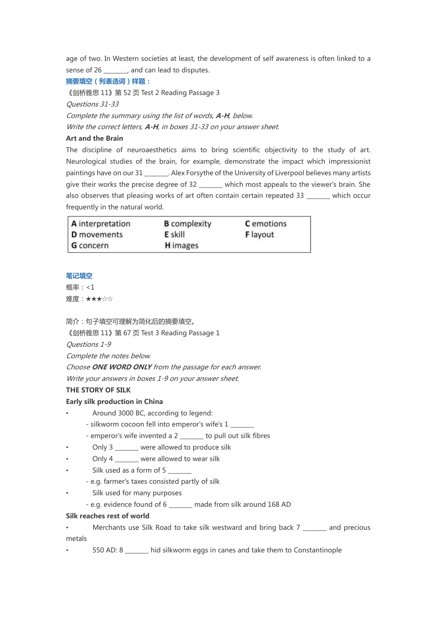age of two. In Western societies at least, the development of self awareness is often linked to a sense of 26 ..., and can lead to disputes.

## **摘要填空(列表选词)样题:**

《剑桥雅思 11》第 52 页 Test 2 Reading Passage 3 Questions 31-33 Complete the summary using the list of words, **A-H**, below. Write the correct letters, **A-H**, in boxes 31-33 on your answer sheet.

## **Art and the Brain**

The discipline of neuroaesthetics aims to bring scientific objectivity to the study of art. Neurological studies of the brain, for example, demonstrate the impact which impressionist paintings have on our 31 \_\_\_\_\_\_\_. Alex Forsythe of the University of Liverpool believes many artists give their works the precise degree of 32 \_\_\_\_\_ which most appeals to the viewer's brain. She also observes that pleasing works of art often contain certain repeated 33 \_\_\_\_\_\_\_\_ which occur frequently in the natural world.

| A interpretation   | <b>B</b> complexity | <b>C</b> emotions |
|--------------------|---------------------|-------------------|
| <b>D</b> movements | <b>E</b> skill      | <b>F</b> layout   |
| G concern          | <b>H</b> images     |                   |

#### **笔记填空**

概率:<1 难度:★★★☆☆

简介:句子填空可理解为简化后的摘要填空。

《剑桥雅思 11》第 67 页 Test 3 Reading Passage 1

Questions 1-9

Complete the notes below.

Choose **ONE WORD ONLY** from the passage for each answer.

Write your answers in boxes 1-9 on your answer sheet.

## **THE STORY OF SILK**

## **Early silk production in China**

- Around 3000 BC, according to legend:
	- silkworm cocoon fell into emperor's wife's 1
	- emperor's wife invented a 2 \_\_\_\_\_\_\_\_ to pull out silk fibres
- Only 3 were allowed to produce silk
- Only 4 were allowed to wear silk
- Silk used as a form of 5
	- e.g. farmer's taxes consisted partly of silk
- Silk used for many purposes
	- e.g. evidence found of 6 \_\_\_\_\_\_\_\_ made from silk around 168 AD

## **Silk reaches rest of world**

- Merchants use Silk Road to take silk westward and bring back 7 \_\_\_\_\_\_\_ and precious metals
- 550 AD: 8 \_\_\_\_\_\_\_\_ hid silkworm eggs in canes and take them to Constantinople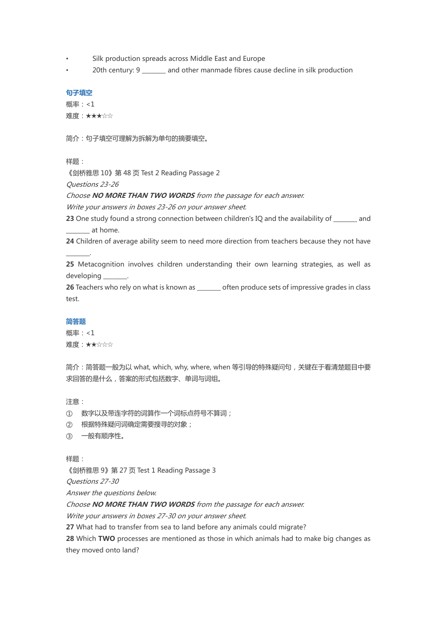- Silk production spreads across Middle East and Europe
- 20th century: 9 and other manmade fibres cause decline in silk production

## **句子填空**

概率:<1 难度:★★★☆☆

简介:句子填空可理解为拆解为单句的摘要填空。

样题:

《剑桥雅思 10》第 48 页 Test 2 Reading Passage 2

Questions 23-26

Choose **NO MORE THAN TWO WORDS** from the passage for each answer.

Write your answers in boxes 23-26 on your answer sheet.

**23** One study found a strong connection between children's IQ and the availability of and \_\_\_\_\_\_\_\_ at home.

**24** Children of average ability seem to need more direction from teachers because they not have

**25** Metacognition involves children understanding their own learning strategies, as well as developing \_\_\_\_\_\_\_\_.

26 Teachers who rely on what is known as \_\_\_\_\_\_\_ often produce sets of impressive grades in class test.

#### **简答题**

\_\_\_\_\_\_\_\_.

概率:<1 难度:★★☆☆☆

简介:简答题一般为以 what, which, why, where, when 等引导的特殊疑问句,关键在于看清楚题目中要 求回答的是什么,答案的形式包括数字、单词与词组。

注意:

① 数字以及带连字符的词算作一个词标点符号不算词;

② 根据特殊疑问词确定需要搜寻的对象;

③ 一般有顺序性。

样题:

《剑桥雅思 9》第 27 页 Test 1 Reading Passage 3

Questions 27-30

Answer the questions below.

Choose **NO MORE THAN TWO WORDS** from the passage for each answer.

Write your answers in boxes 27-30 on your answer sheet.

**27** What had to transfer from sea to land before any animals could migrate?

**28** Which **TWO** processes are mentioned as those in which animals had to make big changes as they moved onto land?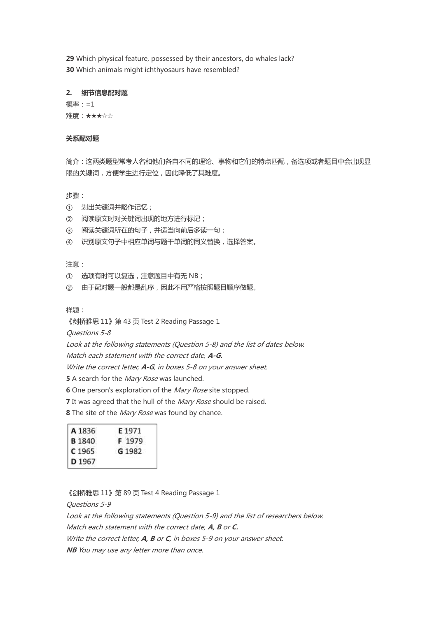**29** Which physical feature, possessed by their ancestors, do whales lack? **30** Which animals might ichthyosaurs have resembled?

### **2. 细节信息配对题**

概率:=1 难度:★★★☆☆

## **关系配对题**

简介:这两类题型常考人名和他们各自不同的理论、事物和它们的特点匹配,备选项或者题目中会出现显 眼的关键词,方便学生进行定位,因此降低了其难度。

步骤:

- ① 划出关键词并略作记忆;
- ② 阅读原文时对关键词出现的地方进行标记;
- ③ 阅读关键词所在的句子,并适当向前后多读一句;
- ④ 识别原文句子中相应单词与题干单词的同义替换,选择答案。

注意:

- ① 选项有时可以复选,注意题目中有无 NB;
- ② 由于配对题一般都是乱序,因此不用严格按照题目顺序做题。

样题:

《剑桥雅思 11》第 43 页 Test 2 Reading Passage 1

Questions 5-8

Look at the following statements (Question 5-8) and the list of dates below.

Match each statement with the correct date, **A-G.**

Write the correct letter, **A-G**, in boxes 5-8 on your answer sheet.

**5** A search for the *Mary Rose* was launched.

**6** One person's exploration of the *Mary Rose* site stopped.

**7** It was agreed that the hull of the Mary Rose should be raised.

**8** The site of the *Mary Rose* was found by chance.

| A 1836            | E 1971 |
|-------------------|--------|
| <b>B</b> 1840     | F 1979 |
| C <sub>1965</sub> | G 1982 |
| D 1967            |        |

《剑桥雅思 11》第 89 页 Test 4 Reading Passage 1

Questions 5-9

Look at the following statements (Question 5-9) and the list of researchers below. Match each statement with the correct date, **A, B** or **C.** Write the correct letter, **A, B** or **C**, in boxes 5-9 on your answer sheet.

**NB** You may use any letter more than once.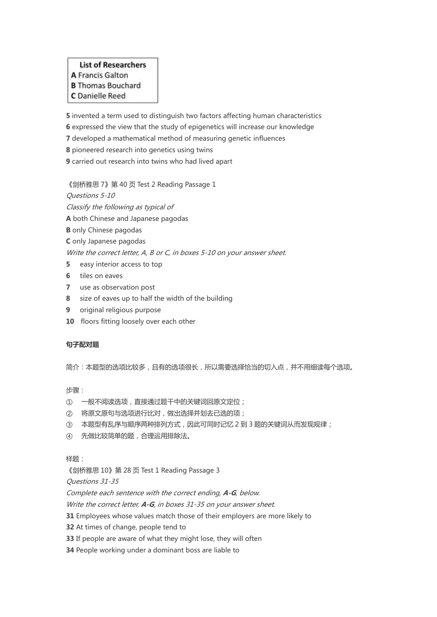# **List of Researchers** A Francis Galton **B** Thomas Bouchard

# C Danielle Reed

**5** invented a term used to distinguish two factors affecting human characteristics

**6** expressed the view that the study of epigenetics will increase our knowledge

**7** developed a mathematical method of measuring genetic influences

**8** pioneered research into genetics using twins

**9** carried out research into twins who had lived apart

《剑桥雅思 7》第 40 页 Test 2 Reading Passage 1

Questions 5-10

Classify the following as typical of

**A** both Chinese and Japanese pagodas

- **B** only Chinese pagodas
- **C** only Japanese pagodas

Write the correct letter, A, B or C, in boxes 5-10 on your answer sheet.

- **5** easy interior access to top
- **6** tiles on eaves
- **7** use as observation post
- **8** size of eaves up to half the width of the building
- **9** original religious purpose
- **10** floors fitting loosely over each other

## **句子配对题**

简介:本题型的选项比较多,且有的选项很长,所以需要选择恰当的切入点,并不用细读每个选项。

## 步骤:

- ① 一般不阅读选项,直接通过题干中的关键词回原文定位;
- ② 将原文原句与选项进行比对,做出选择并划去已选的项;
- ③ 本题型有乱序与顺序两种排列方式,因此可同时记忆 2 到 3 题的关键词从而发现规律;
- ④ 先做比较简单的题,合理运用排除法。

## 样题:

《剑桥雅思 10》第 28 页 Test 1 Reading Passage 3

Questions 31-35

Complete each sentence with the correct ending, **A-G**, below.

Write the correct letter, **A-G**, in boxes 31-35 on your answer sheet.

**31** Employees whose values match those of their employers are more likely to

**32** At times of change, people tend to

- **33** If people are aware of what they might lose, they will often
- **34** People working under a dominant boss are liable to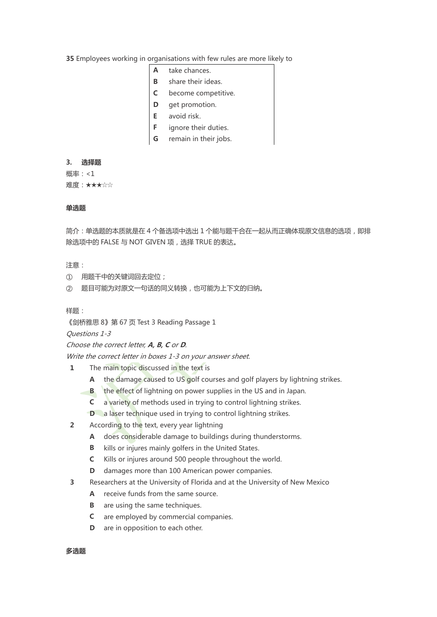**35** Employees working in organisations with few rules are more likely to

- **A** take chances.
- **B** share their ideas.
- **C**  become competitive.
- **D** get promotion.
- **E** avoid risk.
- **F**  ignore their duties.
- **G** remain in their jobs.

#### **3. 选择题**

概率:<1 难度:★★★☆☆

# **单选题**

简介:单选题的本质就是在 4 个备选项中选出 1 个能与题干合在一起从而正确体现原文信息的选项, 即排 除选项中的 FALSE 与 NOT GIVEN 项,选择 TRUE 的表达。

## 注意:

- ① 用题干中的关键词回去定位;
- ② 题目可能为对原文一句话的同义转换,也可能为上下文的归纳。

样题:

《剑桥雅思 8》第 67 页 Test 3 Reading Passage 1

Questions 1-3

## Choose the correct letter, **A, B, C** or **D**.

Write the correct letter in boxes 1-3 on your answer sheet.

- **1** The main topic discussed in the text is
	- **A** the damage caused to US golf courses and golf players by lightning strikes.
	- **B** the effect of lightning on power supplies in the US and in Japan.
	- **C** a variety of methods used in trying to control lightning strikes.
	- **D** a laser technique used in trying to control lightning strikes.
- **2** According to the text, every year lightning
	- **A** does considerable damage to buildings during thunderstorms.
	- **B** kills or injures mainly golfers in the United States.
	- **C** Kills or injures around 500 people throughout the world.
	- **D** damages more than 100 American power companies.
- **3** Researchers at the University of Florida and at the University of New Mexico
	- **A** receive funds from the same source.
	- **B** are using the same techniques.
	- **C** are employed by commercial companies.
	- **D** are in opposition to each other.

## **多选题**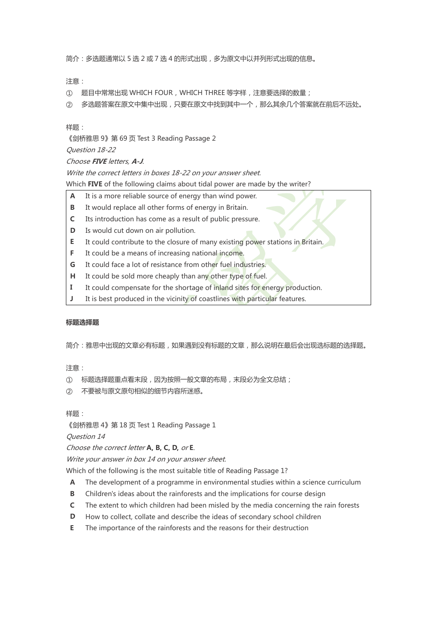简介:多选题通常以 5 选 2 或 7 选 4 的形式出现,多为原文中以并列形式出现的信息。

注意:

- ① 题目中常常出现 WHICH FOUR,WHICH THREE 等字样,注意要选择的数量;
- ② 多选题答案在原文中集中出现,只要在原文中找到其中一个,那么其余几个答案就在前后不远处。

样题:

《剑桥雅思 9》第 69 页 Test 3 Reading Passage 2

Question 18-22

## Choose **FIVE** letters, **A-J**.

Write the correct letters in boxes 18-22 on your answer sheet.

Which **FIVE** of the following claims about tidal power are made by the writer?

- **A** It is a more reliable source of energy than wind power.
- **B** It would replace all other forms of energy in Britain.
- **C** Its introduction has come as a result of public pressure.
- **D** Is would cut down on air pollution.
- **E** It could contribute to the closure of many existing power stations in Britain.
- **F** It could be a means of increasing national income.
- **G** It could face a lot of resistance from other fuel industries.
- **H** It could be sold more cheaply than any other type of fuel.
- **I** It could compensate for the shortage of inland sites for energy production.
- **J** It is best produced in the vicinity of coastlines with particular features.

## **标题选择题**

简介:雅思中出现的文章必有标题,如果遇到没有标题的文章,那么说明在最后会出现选标题的选择题。

注意:

- ① 标题选择题重点看末段,因为按照一般文章的布局,末段必为全文总结;
- ② 不要被与原文原句相似的细节内容所迷惑。

样题:

《剑桥雅思 4》第 18 页 Test 1 Reading Passage 1

Question 14

Choose the correct letter **A, B, C, D,** or **E**.

Write your answer in box 14 on your answer sheet.

Which of the following is the most suitable title of Reading Passage 1?

- **A** The development of a programme in environmental studies within a science curriculum
- **B** Children's ideas about the rainforests and the implications for course design
- **C** The extent to which children had been misled by the media concerning the rain forests
- **D** How to collect, collate and describe the ideas of secondary school children
- **E** The importance of the rainforests and the reasons for their destruction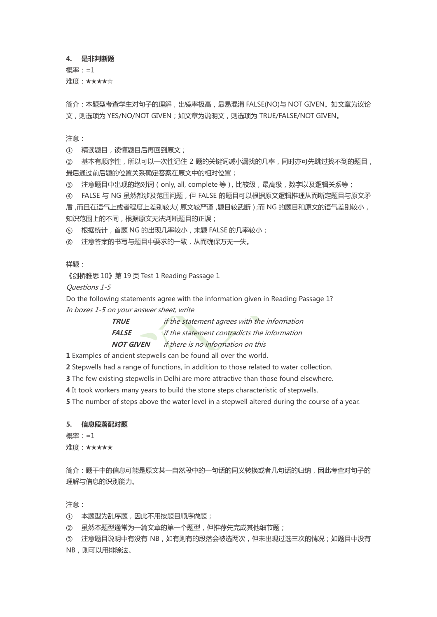#### **4. 是非判断题**

概率:=1 难度:★★★★☆

简介:本题型考查学生对句子的理解,出镜率极高,最易混淆 FALSE(NO)与 NOT GIVEN。如文章为议论 文,则选项为 YES/NO/NOT GIVEN;如文章为说明文,则选项为 TRUE/FALSE/NOT GIVEN。

注意:

① 精读题目,读懂题目后再回到原文;

② 基本有顺序性,所以可以一次性记住 2 题的关键词减小漏找的几率,同时亦可先跳过找不到的题目, 最后通过前后题的位置关系确定答案在原文中的相对位置;

③ 注意题目中出现的绝对词(only, all, complete 等),比较级,最高级,数字以及逻辑关系等;

④ FALSE 与 NG 虽然都涉及范围问题,但 FALSE 的题目可以根据原文逻辑推理从而断定题目与原文矛 盾,而且在语气上或者程度上差别较大(原文较严谨,题目较武断);而 NG 的题目和原文的语气差别较小, 知识范围上的不同,根据原文无法判断题目的正误;

⑤ 根据统计,首题 NG 的出现几率较小,末题 FALSE 的几率较小;

⑥ 注意答案的书写与题目中要求的一致,从而确保万无一失。

样题:

《剑桥雅思 10》第 19 页 Test 1 Reading Passage 1

Questions 1-5

Do the following statements agree with the information given in Reading Passage 1? In boxes 1-5 on your answer sheet, write

> **TRUE** if the statement agrees with the information **FALSE** if the statement contradicts the information **NOT GIVEN** if there is no information on this

**1** Examples of ancient stepwells can be found all over the world.

**2** Stepwells had a range of functions, in addition to those related to water collection.

**3** The few existing stepwells in Delhi are more attractive than those found elsewhere.

**4** It took workers many years to build the stone steps characteristic of stepwells.

**5** The number of steps above the water level in a stepwell altered during the course of a year.

## **5. 信息段落配对题**

概率:=1 难度:★★★★★

简介:题干中的信息可能是原文某一自然段中的一句话的同义转换或者几句话的归纳,因此考查对句子的 理解与信息的识别能力。

注意:

① 本题型为乱序题,因此不用按题目顺序做题;

② 虽然本题型通常为一篇文章的第一个题型,但推荐先完成其他细节题;

③ 注意题目说明中有没有 NB,如有则有的段落会被选两次,但未出现过选三次的情况;如题目中没有 NB, 则可以用排除法。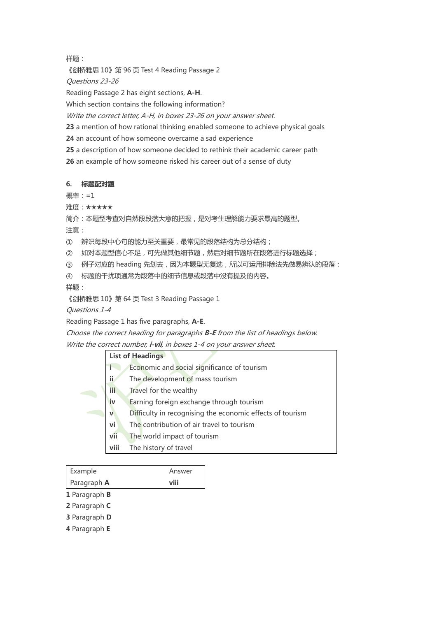样题:

《剑桥雅思 10》第 96 页 Test 4 Reading Passage 2

Questions 23-26

Reading Passage 2 has eight sections, **A-H**.

Which section contains the following information?

Write the correct letter, A-H, in boxes 23-26 on your answer sheet.

**23** a mention of how rational thinking enabled someone to achieve physical goals

**24** an account of how someone overcame a sad experience

**25** a description of how someone decided to rethink their academic career path

**26** an example of how someone risked his career out of a sense of duty

## **6. 标题配对题**

概率:=1

难度:★★★★★

简介:本题型考查对自然段段落大意的把握,是对考生理解能力要求最高的题型。

注意:

① 辨识每段中心句的能力至关重要,最常见的段落结构为总分结构;

② 如对本题型信心不足,可先做其他细节题,然后对细节题所在段落进行标题选择;

③ 例子对应的 heading 先划去,因为本题型无复选,所以可运用排除法先做易辨认的段落;

④ 标题的干扰项通常为段落中的细节信息或段落中没有提及的内容。

样题:

《剑桥雅思 10》第 64 页 Test 3 Reading Passage 1

Questions 1-4

Reading Passage 1 has five paragraphs, **A-E**.

Choose the correct heading for paragraphs **B-E** from the list of headings below.

Write the correct number, **i-vii**, in boxes 1-4 on your answer sheet.

|             | <b>List of Headings</b>                                   |
|-------------|-----------------------------------------------------------|
|             | Economic and social significance of tourism               |
| ii          | The development of mass tourism                           |
| <b>iii</b>  | Travel for the wealthy                                    |
| iv          | Earning foreign exchange through tourism                  |
| $\mathbf v$ | Difficulty in recognising the economic effects of tourism |
| vi          | The contribution of air travel to tourism                 |
| vii         | The world impact of tourism                               |
| viii        | The history of travel                                     |

| Example       | Answer |
|---------------|--------|
| Paragraph A   |        |
| 1 Paragraph B |        |
| 2 Paragraph C |        |
| 3 Paragraph D |        |
| 4 Paragraph E |        |
|               |        |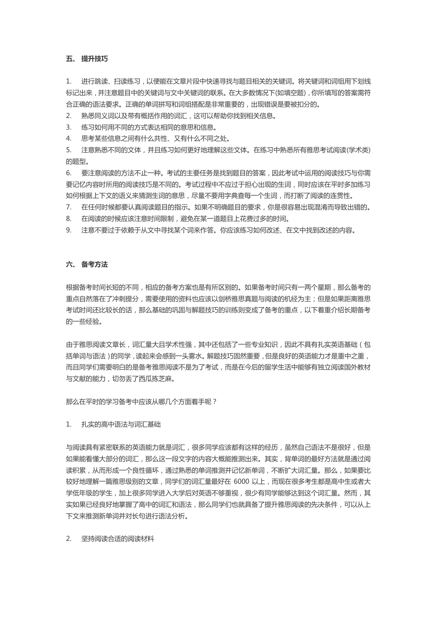## **五、 提升技巧**

1. 进行跳读、扫读练习,以便能在文章片段中快速寻找与题目相关的关键词。将关键词和词组用下划线 标记出来,并注意题目中的关键词与文中关键词的联系。在大多数情况下(如填空题),你所填写的答案需符 合正确的语法要求。正确的单词拼写和词组搭配是非常重要的,出现错误是要被扣分的。

2. 熟悉同义词以及带有概括作用的词汇,这可以帮助你找到相关信息。

3. 练习如何用不同的方式表达相同的意思和信息。

4. 思考某些信息之间有什么共性、又有什么不同之处。

5. 注意熟悉不同的文体,并且练习如何更好地理解这些文体。在练习中熟悉所有雅思考试阅读(学术类) 的题型。

6. 要注意阅读的方法不止一种。考试的主要任务是找到题目的答案,因此考试中运用的阅读技巧与你需 要记忆内容时所用的阅读技巧是不同的。考试过程中不应过于担心出现的生词,同时应该在平时多加练习 如何根据上下文的语义来猜测生词的意思,尽量不要用字典查每一个生词,而打断了阅读的连贯性。

7. 在任何时候都要认真阅读题目的指示。如果不明确题目的要求,你是很容易出现混淆而导致出错的。

8. 在阅读的时候应该注意时间限制,避免在某一道题目上花费过多的时间。

9. 注意不要过于依赖于从文中寻找某个词来作答。你应该练习如何改述、在文中找到改述的内容。

#### **六、 备考方法**

根据备考时间长短的不同,相应的备考方案也是有所区别的。如果备考时间只有一两个星期,那么备考的 重点自然落在了冲刺提分,需要使用的资料也应该以剑桥雅思真题与阅读的机经为主;但是如果距离雅思 考试时间还比较长的话,那么基础的巩固与解题技巧的训练则变成了备考的重点,以下着重介绍长期备考 的一些经验。

由于雅思阅读文章长,词汇量大且学术性强,其中还包括了一些专业知识,因此不具有扎实英语基础(包 括单词与语法)的同学,读起来会感到一头雾水。解题技巧固然重要,但是良好的英语能力才是重中之重, 而且同学们需要明白的是备考雅思阅读不是为了考试,而是在今后的留学生活中能够有独立阅读国外教材 与文献的能力,切勿丢了西瓜拣芝麻。

那么在平时的学习备考中应该从哪几个方面着手呢?

#### 1. 扎实的高中语法与词汇基础

与阅读具有紧密联系的英语能力就是词汇,很多同学应该都有这样的经历,虽然自己语法不是很好,但是 如果能看懂大部分的词汇,那么这一段文字的内容大概能推测出来。其实,背单词的最好方法就是通过阅 读积累,从而形成一个良性循环,通过熟悉的单词推测并记忆新单词,不断扩大词汇量。那么,如果要比 较好地理解一篇雅思级别的文章,同学们的词汇量最好在 6000 以上,而现在很多考生都是高中生或者大 学低年级的学生,加上很多同学进入大学后对英语不够重视,很少有同学能够达到这个词汇量。然而,其 实如果已经良好地掌握了高中的词汇和语法,那么同学们也就具备了提升雅思阅读的先决条件,可以从上 下文来推测新单词并对长句进行语法分析。

2. 坚持阅读合适的阅读材料